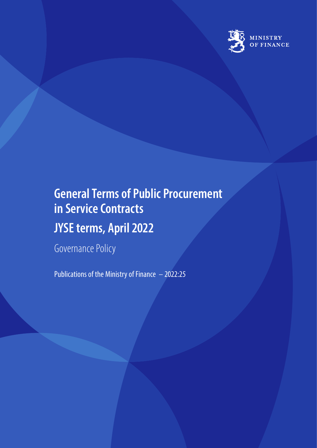

# **General Terms of Public Procurement in Service Contracts JYSE terms, April 2022**

Governance Policy

Publications of the Ministry of Finance – 2022:25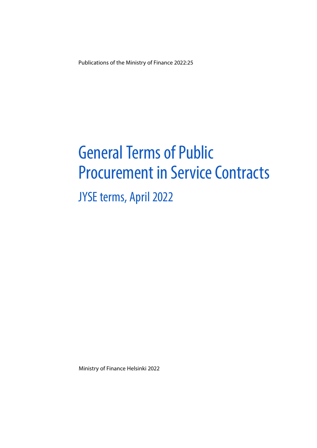Publications of the Ministry of Finance 2022:25

# General Terms of Public Procurement in Service Contracts

# JYSE terms, April 2022

Ministry of Finance Helsinki 2022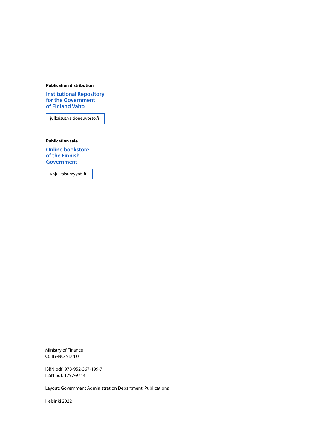#### **Publication distribution**

**[Institutional Repository](https://julkaisut.valtioneuvosto.fi/) for the Government of Finland Valto**

julkaisut.valtioneuvosto.fi

**Publication sale**

**[Online bookstore](https://vnjulkaisumyynti.fi/)  of the Finnish Government**

vnjulkaisumyynti.fi

Ministry of Finance CC BY-NC-ND 4.0

ISBN pdf: 978-952-367-199-7 ISSN pdf: 1797-9714

Layout: Government Administration Department, Publications

Helsinki 2022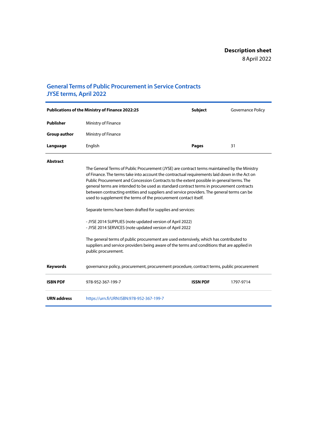### **General Terms of Public Procurement in Service Contracts JYSE terms, April 2022**

| <b>Publications of the Ministry of Finance 2022:25</b> |                     | <b>Subject</b> | Governance Policy |
|--------------------------------------------------------|---------------------|----------------|-------------------|
| Publisher                                              | Ministry of Finance |                |                   |
| <b>Group author</b>                                    | Ministry of Finance |                |                   |
| Language                                               | English             | <b>Pages</b>   | 31                |

#### **Abstract**

| The General Terms of Public Procurement (JYSE) are contract terms maintained by the Ministry |
|----------------------------------------------------------------------------------------------|
| of Finance. The terms take into account the contractual requirements laid down in the Act on |
| Public Procurement and Concession Contracts to the extent possible in general terms. The     |
| general terms are intended to be used as standard contract terms in procurement contracts    |
| between contracting entities and suppliers and service providers. The general terms can be   |
| used to supplement the terms of the procurement contact itself.                              |
|                                                                                              |

Separate terms have been drafted for supplies and services:

- JYSE 2014 SUPPLIES (note updated version of April 2022) - JYSE 2014 SERVICES (note updated version of April 2022

The general terms of public procurement are used extensively, which has contributed to suppliers and service providers being aware of the terms and conditions that are applied in public procurement.

**Keywords** governance policy, procurement, procurement procedure, contract terms, public procurement

| <b>ISBN PDF</b>    | 978-952-367-199-7                         | <b>ISSN PDF</b> | 1797-9714 |
|--------------------|-------------------------------------------|-----------------|-----------|
| <b>URN</b> address | https://urn.fi/URN:ISBN:978-952-367-199-7 |                 |           |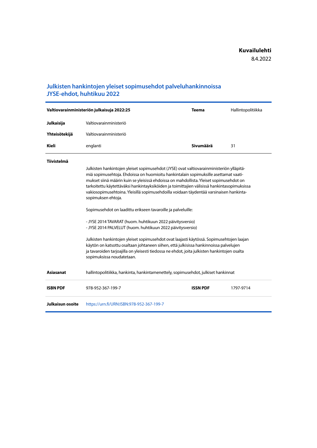### **Julkisten hankintojen yleiset sopimusehdot palveluhankinnoissa JYSE-ehdot, huhtikuu 2022**

|                         | Valtiovarainministeriön julkaisuja 2022:25                                                                                                                                                                                                                                                                                                                                                   | <b>Teema</b>    | Hallintopolitiikka |
|-------------------------|----------------------------------------------------------------------------------------------------------------------------------------------------------------------------------------------------------------------------------------------------------------------------------------------------------------------------------------------------------------------------------------------|-----------------|--------------------|
| Julkaisija              | Valtiovarainministeriö                                                                                                                                                                                                                                                                                                                                                                       |                 |                    |
| Yhteisötekijä           | Valtiovarainministeriö                                                                                                                                                                                                                                                                                                                                                                       |                 |                    |
| <b>Kieli</b>            | englanti                                                                                                                                                                                                                                                                                                                                                                                     | Sivumäärä       | 31                 |
| <b>Tiivistelmä</b>      | Julkisten hankintojen yleiset sopimusehdot (JYSE) ovat valtiovarainministeriön ylläpitä-                                                                                                                                                                                                                                                                                                     |                 |                    |
|                         | miä sopimusehtoja. Ehdoissa on huomioitu hankintalain sopimuksille asettamat vaati-<br>mukset siinä määrin kuin se yleisissä ehdoissa on mahdollista. Yleiset sopimusehdot on<br>tarkoitettu käytettäväksi hankintayksiköiden ja toimittajien välisissä hankintasopimuksissa<br>vakiosopimusehtoina. Yleisillä sopimusehdoilla voidaan täydentää varsinaisen hankinta-<br>sopimuksen ehtoja. |                 |                    |
|                         | Sopimusehdot on laadittu erikseen tavaroille ja palveluille:                                                                                                                                                                                                                                                                                                                                 |                 |                    |
|                         | - JYSE 2014 TAVARAT (huom. huhtikuun 2022 päivitysversio)<br>- JYSE 2014 PALVELUT (huom. huhtikuun 2022 päivitysversio)                                                                                                                                                                                                                                                                      |                 |                    |
|                         | Julkisten hankintojen yleiset sopimusehdot ovat laajasti käytössä. Sopimusehtojen laajan<br>käytön on katsottu osaltaan johtaneen siihen, että julkisissa hankinnoissa palvelujen<br>ja tavaroiden tarjoajilla on yleisesti tiedossa ne ehdot, joita julkisten hankintojen osalta<br>sopimuksissa noudatetaan.                                                                               |                 |                    |
| <b>Asiasanat</b>        | hallintopolitiikka, hankinta, hankintamenettely, sopimusehdot, julkiset hankinnat                                                                                                                                                                                                                                                                                                            |                 |                    |
| <b>ISBN PDF</b>         | 978-952-367-199-7                                                                                                                                                                                                                                                                                                                                                                            | <b>ISSN PDF</b> | 1797-9714          |
| <b>Julkaisun osoite</b> | https://urn.fi/URN:ISBN:978-952-367-199-7                                                                                                                                                                                                                                                                                                                                                    |                 |                    |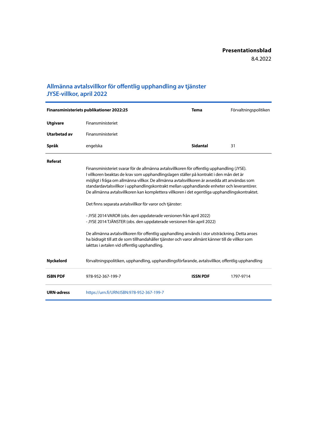### **Allmänna avtalsvillkor för offentlig upphandling av tjänster JYSE-villkor, april 2022**

|                   | Finansministeriets publikationer 2022:25                                                                                                                                                                                                                                                                                                                                                                                                                                            | <b>Tema</b>     | Förvaltningspolitiken |
|-------------------|-------------------------------------------------------------------------------------------------------------------------------------------------------------------------------------------------------------------------------------------------------------------------------------------------------------------------------------------------------------------------------------------------------------------------------------------------------------------------------------|-----------------|-----------------------|
| <b>Utgivare</b>   | Finansministeriet                                                                                                                                                                                                                                                                                                                                                                                                                                                                   |                 |                       |
| Utarbetad av      | Finansministeriet                                                                                                                                                                                                                                                                                                                                                                                                                                                                   |                 |                       |
| Språk             | engelska                                                                                                                                                                                                                                                                                                                                                                                                                                                                            | <b>Sidantal</b> | 31                    |
| Referat           |                                                                                                                                                                                                                                                                                                                                                                                                                                                                                     |                 |                       |
|                   | Finansministeriet svarar för de allmänna avtalsvillkoren för offentlig upphandling (JYSE).<br>I villkoren beaktas de krav som upphandlingslagen ställer på kontrakt i den mån det är<br>möjligt i fråga om allmänna villkor. De allmänna avtalsvillkoren är avsedda att användas som<br>standardavtalsvillkor i upphandlingskontrakt mellan upphandlande enheter och leverantörer.<br>De allmänna avtalsvillkoren kan komplettera villkoren i det egentliga upphandlingskontraktet. |                 |                       |
|                   | Det finns separata avtalsvillkor för varor och tjänster:                                                                                                                                                                                                                                                                                                                                                                                                                            |                 |                       |
|                   | - JYSE 2014 VAROR (obs. den uppdaterade versionen från april 2022)<br>- JYSE 2014 TJÄNSTER (obs. den uppdaterade versionen från april 2022)                                                                                                                                                                                                                                                                                                                                         |                 |                       |
|                   | De allmänna avtalsvillkoren för offentlig upphandling används i stor utsträckning. Detta anses<br>ha bidragit till att de som tillhandahåller tjänster och varor allmänt känner till de villkor som<br>iakttas i avtalen vid offentlig upphandling.                                                                                                                                                                                                                                 |                 |                       |
| <b>Nyckelord</b>  | förvaltningspolitiken, upphandling, upphandlingsförfarande, avtalsvillkor, offentlig upphandling                                                                                                                                                                                                                                                                                                                                                                                    |                 |                       |
| <b>ISBN PDF</b>   | 978-952-367-199-7                                                                                                                                                                                                                                                                                                                                                                                                                                                                   | <b>ISSN PDF</b> | 1797-9714             |
| <b>URN-adress</b> | https://urn.fi/URN:ISBN:978-952-367-199-7                                                                                                                                                                                                                                                                                                                                                                                                                                           |                 |                       |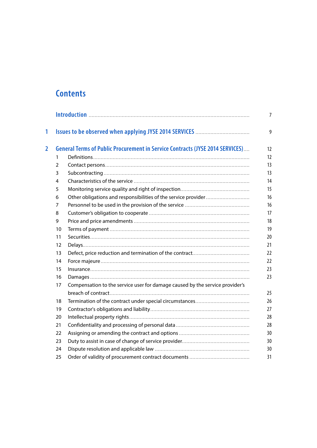## **Contents**

| 1              |    |                                                                                      |
|----------------|----|--------------------------------------------------------------------------------------|
| $\overline{2}$ |    | <b>General Terms of Public Procurement in Service Contracts (JYSE 2014 SERVICES)</b> |
|                | 1  |                                                                                      |
|                | 2  |                                                                                      |
|                | 3  |                                                                                      |
|                | 4  |                                                                                      |
|                | 5  |                                                                                      |
|                | 6  |                                                                                      |
|                | 7  |                                                                                      |
|                | 8  |                                                                                      |
|                | 9  |                                                                                      |
|                | 10 |                                                                                      |
|                | 11 |                                                                                      |
|                | 12 |                                                                                      |
|                | 13 |                                                                                      |
|                | 14 |                                                                                      |
|                | 15 |                                                                                      |
|                | 16 |                                                                                      |
|                | 17 | Compensation to the service user for damage caused by the service provider's         |
|                |    |                                                                                      |
|                | 18 |                                                                                      |
|                | 19 |                                                                                      |
|                | 20 |                                                                                      |
|                | 21 |                                                                                      |
|                | 22 |                                                                                      |
|                | 23 |                                                                                      |
|                | 24 |                                                                                      |
|                | 25 |                                                                                      |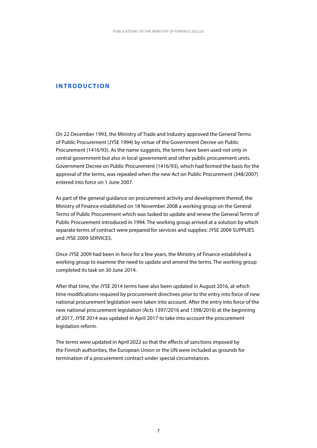#### <span id="page-7-0"></span>**INTRODUCTION**

On 22 December 1993, the Ministry of Trade and Industry approved the General Terms of Public Procurement (JYSE 1994) by virtue of the Government Decree on Public Procurement (1416/93). As the name suggests, the terms have been used not only in central government but also in local government and other public procurement units. Government Decree on Public Procurement (1416/93), which had formed the basis for the approval of the terms, was repealed when the new Act on Public Procurement (348/2007) entered into force on 1 June 2007.

As part of the general guidance on procurement activity and development thereof, the Ministry of Finance established on 18 November 2008 a working group on the General Terms of Public Procurement which was tasked to update and renew the General Terms of Public Procurement introduced in 1994. The working group arrived at a solution by which separate terms of contract were prepared for services and supplies: JYSE 2009 SUPPLIES and JYSE 2009 SERVICES.

Once JYSE 2009 had been in force for a few years, the Ministry of Finance established a working group to examine the need to update and amend the terms. The working group completed its task on 30 June 2014.

After that time, the JYSE 2014 terms have also been updated in August 2016, at which time modifications required by procurement directives prior to the entry into force of new national procurement legislation were taken into account. After the entry into force of the new national procurement legislation (Acts 1397/2016 and 1398/2016) at the beginning of 2017, JYSE 2014 was updated in April 2017 to take into account the procurement legislation reform.

The terms were updated in April 2022 so that the effects of sanctions imposed by the Finnish authorities, the European Union or the UN were included as grounds for termination of a procurement contract under special circumstances.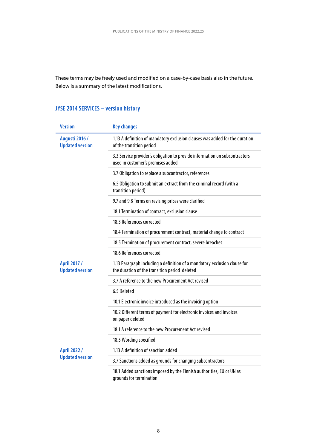These terms may be freely used and modified on a case-by-case basis also in the future. Below is a summary of the latest modifications.

### **JYSE 2014 SERVICES – version history**

| <b>Version</b>                                  | <b>Key changes</b>                                                                                                         |
|-------------------------------------------------|----------------------------------------------------------------------------------------------------------------------------|
| <b>Augusti 2016 /</b><br><b>Updated version</b> | 1.13 A definition of mandatory exclusion clauses was added for the duration<br>of the transition period                    |
|                                                 | 3.3 Service provider's obligation to provide information on subcontractors<br>used in customer's premises added            |
|                                                 | 3.7 Obligation to replace a subcontractor, references                                                                      |
|                                                 | 6.5 Obligation to submit an extract from the criminal record (with a<br>transition period)                                 |
|                                                 | 9.7 and 9.8 Terms on revising prices were clarified                                                                        |
|                                                 | 18.1 Termination of contract, exclusion clause                                                                             |
|                                                 | 18.3 References corrected                                                                                                  |
|                                                 | 18.4 Termination of procurement contract, material change to contract                                                      |
|                                                 | 18.5 Termination of procurement contract, severe breaches                                                                  |
|                                                 | 18.6 References corrected                                                                                                  |
| April 2017 /<br><b>Updated version</b>          | 1.13 Paragraph including a definition of a mandatory exclusion clause for<br>the duration of the transition period deleted |
|                                                 | 3.7 A reference to the new Procurement Act revised                                                                         |
|                                                 | 6.5 Deleted                                                                                                                |
|                                                 | 10.1 Electronic invoice introduced as the invoicing option                                                                 |
|                                                 | 10.2 Different terms of payment for electronic invoices and invoices<br>on paper deleted                                   |
|                                                 | 18.1 A reference to the new Procurement Act revised                                                                        |
|                                                 | 18.5 Wording specified                                                                                                     |
| April 2022 /                                    | 1.13 A definition of sanction added                                                                                        |
| <b>Updated version</b>                          | 3.7 Sanctions added as grounds for changing subcontractors                                                                 |
|                                                 | 18.1 Added sanctions imposed by the Finnish authorities, EU or UN as<br>grounds for termination                            |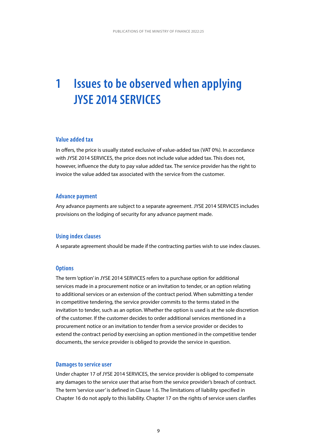# <span id="page-9-0"></span>**1 Issues to be observed when applying JYSE 2014 SERVICES**

#### **Value added tax**

In offers, the price is usually stated exclusive of value-added tax (VAT 0%). In accordance with JYSE 2014 SERVICES, the price does not include value added tax. This does not, however, influence the duty to pay value added tax. The service provider has the right to invoice the value added tax associated with the service from the customer.

#### **Advance payment**

Any advance payments are subject to a separate agreement. JYSE 2014 SERVICES includes provisions on the lodging of security for any advance payment made.

#### **Using index clauses**

A separate agreement should be made if the contracting parties wish to use index clauses.

#### **Options**

The term 'option' in JYSE 2014 SERVICES refers to a purchase option for additional services made in a procurement notice or an invitation to tender, or an option relating to additional services or an extension of the contract period. When submitting a tender in competitive tendering, the service provider commits to the terms stated in the invitation to tender, such as an option. Whether the option is used is at the sole discretion of the customer. If the customer decides to order additional services mentioned in a procurement notice or an invitation to tender from a service provider or decides to extend the contract period by exercising an option mentioned in the competitive tender documents, the service provider is obliged to provide the service in question.

#### **Damages to service user**

Under chapter 17 of JYSE 2014 SERVICES, the service provider is obliged to compensate any damages to the service user that arise from the service provider's breach of contract. The term 'service user' is defined in Clause 1.6. The limitations of liability specified in Chapter 16 do not apply to this liability. Chapter 17 on the rights of service users clarifies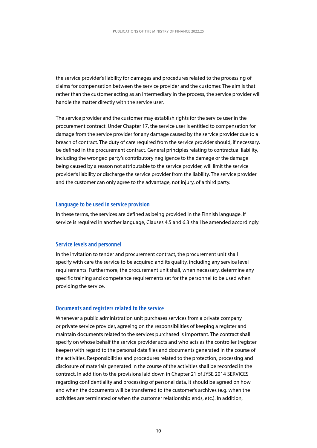the service provider's liability for damages and procedures related to the processing of claims for compensation between the service provider and the customer. The aim is that rather than the customer acting as an intermediary in the process, the service provider will handle the matter directly with the service user.

The service provider and the customer may establish rights for the service user in the procurement contract. Under Chapter 17, the service user is entitled to compensation for damage from the service provider for any damage caused by the service provider due to a breach of contract. The duty of care required from the service provider should, if necessary, be defined in the procurement contract. General principles relating to contractual liability, including the wronged party's contributory negligence to the damage or the damage being caused by a reason not attributable to the service provider, will limit the service provider's liability or discharge the service provider from the liability. The service provider and the customer can only agree to the advantage, not injury, of a third party.

#### **Language to be used in service provision**

In these terms, the services are defined as being provided in the Finnish language. If service is required in another language, Clauses 4.5 and 6.3 shall be amended accordingly.

#### **Service levels and personnel**

In the invitation to tender and procurement contract, the procurement unit shall specify with care the service to be acquired and its quality, including any service level requirements. Furthermore, the procurement unit shall, when necessary, determine any specific training and competence requirements set for the personnel to be used when providing the service.

#### **Documents and registers related to the service**

Whenever a public administration unit purchases services from a private company or private service provider, agreeing on the responsibilities of keeping a register and maintain documents related to the services purchased is important. The contract shall specify on whose behalf the service provider acts and who acts as the controller (register keeper) with regard to the personal data files and documents generated in the course of the activities. Responsibilities and procedures related to the protection, processing and disclosure of materials generated in the course of the activities shall be recorded in the contract. In addition to the provisions laid down in Chapter 21 of JYSE 2014 SERVICES regarding confidentiality and processing of personal data, it should be agreed on how and when the documents will be transferred to the customer's archives (e.g. when the activities are terminated or when the customer relationship ends, etc.). In addition,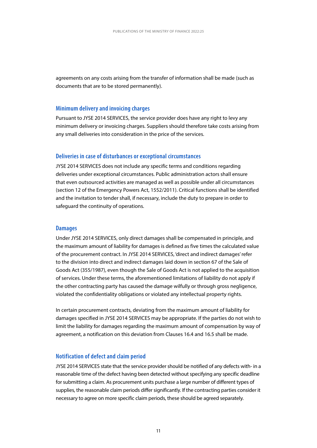agreements on any costs arising from the transfer of information shall be made (such as documents that are to be stored permanently).

#### **Minimum delivery and invoicing charges**

Pursuant to JYSE 2014 SERVICES, the service provider does have any right to levy any minimum delivery or invoicing charges. Suppliers should therefore take costs arising from any small deliveries into consideration in the price of the services.

#### **Deliveries in case of disturbances or exceptional circumstances**

JYSE 2014 SERVICES does not include any specific terms and conditions regarding deliveries under exceptional circumstances. Public administration actors shall ensure that even outsourced activities are managed as well as possible under all circumstances (section 12 of the Emergency Powers Act, 1552/2011). Critical functions shall be identified and the invitation to tender shall, if necessary, include the duty to prepare in order to safeguard the continuity of operations.

#### **Damages**

Under JYSE 2014 SERVICES, only direct damages shall be compensated in principle, and the maximum amount of liability for damages is defined as five times the calculated value of the procurement contract. In JYSE 2014 SERVICES, 'direct and indirect damages' refer to the division into direct and indirect damages laid down in section 67 of the Sale of Goods Act (355/1987), even though the Sale of Goods Act is not applied to the acquisition of services. Under these terms, the aforementioned limitations of liability do not apply if the other contracting party has caused the damage wilfully or through gross negligence, violated the confidentiality obligations or violated any intellectual property rights.

In certain procurement contracts, deviating from the maximum amount of liability for damages specified in JYSE 2014 SERVICES may be appropriate. If the parties do not wish to limit the liability for damages regarding the maximum amount of compensation by way of agreement, a notification on this deviation from Clauses 16.4 and 16.5 shall be made.

#### **Notification of defect and claim period**

JYSE 2014 SERVICES state that the service provider should be notified of any defects with- in a reasonable time of the defect having been detected without specifying any specific deadline for submitting a claim. As procurement units purchase a large number of different types of supplies, the reasonable claim periods differ significantly. If the contracting parties consider it necessary to agree on more specific claim periods, these should be agreed separately.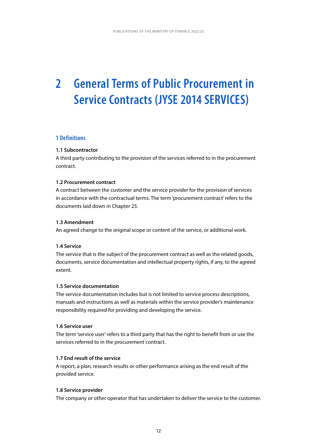# <span id="page-12-0"></span>**2 General Terms of Public Procurement in Service Contracts (JYSE 2014 SERVICES)**

#### **1 Definitions**

#### **1.1 Subcontractor**

A third party contributing to the provision of the services referred to in the procurement contract.

#### **1.2 Procurement contract**

A contract between the customer and the service provider for the provision of services in accordance with the contractual terms. The term 'procurement contract' refers to the documents laid down in Chapter 25.

#### **1.3 Amendment**

An agreed change to the original scope or content of the service, or additional work.

#### **1.4 Service**

The service that is the subject of the procurement contract as well as the related goods, documents, service documentation and intellectual property rights, if any, to the agreed extent.

#### **1.5 Service documentation**

The service documentation includes but is not limited to service process descriptions, manuals and instructions as well as materials within the service provider's maintenance responsibility required for providing and developing the service.

#### **1.6 Service user**

The term 'service user' refers to a third party that has the right to benefit from or use the services referred to in the procurement contract.

#### **1.7 End result of the service**

A report, a plan, research results or other performance arising as the end result of the provided service.

#### **1.8 Service provider**

The company or other operator that has undertaken to deliver the service to the customer.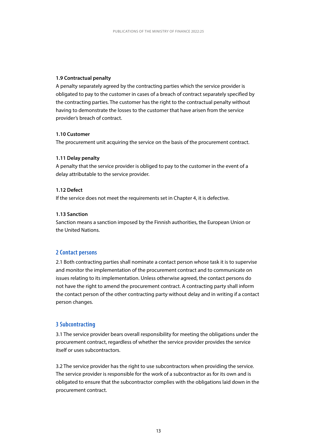#### <span id="page-13-0"></span>**1.9 Contractual penalty**

A penalty separately agreed by the contracting parties which the service provider is obligated to pay to the customer in cases of a breach of contract separately specified by the contracting parties. The customer has the right to the contractual penalty without having to demonstrate the losses to the customer that have arisen from the service provider's breach of contract.

#### **1.10 Customer**

The procurement unit acquiring the service on the basis of the procurement contract.

#### **1.11 Delay penalty**

A penalty that the service provider is obliged to pay to the customer in the event of a delay attributable to the service provider.

#### **1.12 Defect**

If the service does not meet the requirements set in Chapter 4, it is defective.

#### **1.13 Sanction**

Sanction means a sanction imposed by the Finnish authorities, the European Union or the United Nations.

#### **2 Contact persons**

2.1 Both contracting parties shall nominate a contact person whose task it is to supervise and monitor the implementation of the procurement contract and to communicate on issues relating to its implementation. Unless otherwise agreed, the contact persons do not have the right to amend the procurement contract. A contracting party shall inform the contact person of the other contracting party without delay and in writing if a contact person changes.

#### **3 Subcontracting**

3.1 The service provider bears overall responsibility for meeting the obligations under the procurement contract, regardless of whether the service provider provides the service itself or uses subcontractors.

3.2 The service provider has the right to use subcontractors when providing the service. The service provider is responsible for the work of a subcontractor as for its own and is obligated to ensure that the subcontractor complies with the obligations laid down in the procurement contract.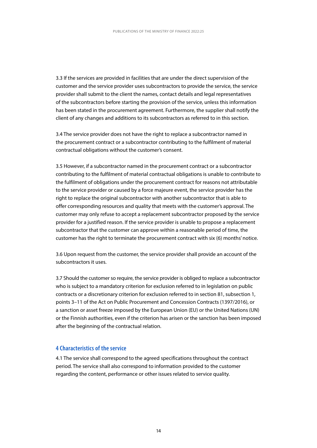<span id="page-14-0"></span>3.3 If the services are provided in facilities that are under the direct supervision of the customer and the service provider uses subcontractors to provide the service, the service provider shall submit to the client the names, contact details and legal representatives of the subcontractors before starting the provision of the service, unless this information has been stated in the procurement agreement. Furthermore, the supplier shall notify the client of any changes and additions to its subcontractors as referred to in this section.

3.4 The service provider does not have the right to replace a subcontractor named in the procurement contract or a subcontractor contributing to the fulfilment of material contractual obligations without the customer's consent.

3.5 However, if a subcontractor named in the procurement contract or a subcontractor contributing to the fulfilment of material contractual obligations is unable to contribute to the fulfilment of obligations under the procurement contract for reasons not attributable to the service provider or caused by a force majeure event, the service provider has the right to replace the original subcontractor with another subcontractor that is able to offer corresponding resources and quality that meets with the customer's approval. The customer may only refuse to accept a replacement subcontractor proposed by the service provider for a justified reason. If the service provider is unable to propose a replacement subcontractor that the customer can approve within a reasonable period of time, the customer has the right to terminate the procurement contract with six (6) months' notice.

3.6 Upon request from the customer, the service provider shall provide an account of the subcontractors it uses.

3.7 Should the customer so require, the service provider is obliged to replace a subcontractor who is subject to a mandatory criterion for exclusion referred to in legislation on public contracts or a discretionary criterion for exclusion referred to in section 81, subsection 1, points 3–11 of the Act on Public Procurement and Concession Contracts (1397/2016), or a sanction or asset freeze imposed by the European Union (EU) or the United Nations (UN) or the Finnish authorities, even if the criterion has arisen or the sanction has been imposed after the beginning of the contractual relation.

#### **4 Characteristics of the service**

4.1 The service shall correspond to the agreed specifications throughout the contract period. The service shall also correspond to information provided to the customer regarding the content, performance or other issues related to service quality.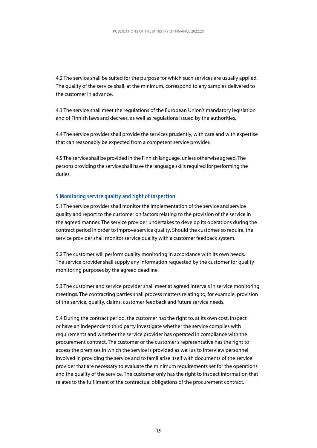<span id="page-15-0"></span>4.2 The service shall be suited for the purpose for which such services are usually applied. The quality of the service shall, at the minimum, correspond to any samples delivered to the customer in advance.

4.3 The service shall meet the regulations of the European Union's mandatory legislation and of Finnish laws and decrees, as well as regulations issued by the authorities.

4.4 The service provider shall provide the services prudently, with care and with expertise that can reasonably be expected from a competent service provider.

4.5 The service shall be provided in the Finnish language, unless otherwise agreed. The persons providing the service shall have the language skills required for performing the duties.

#### **5 Monitoring service quality and right of inspection**

5.1 The service provider shall monitor the implementation of the service and service quality and report to the customer on factors relating to the provision of the service in the agreed manner. The service provider undertakes to develop its operations during the contract period in order to improve service quality. Should the customer so require, the service provider shall monitor service quality with a customer feedback system.

5.2 The customer will perform quality monitoring in accordance with its own needs. The service provider shall supply any information requested by the customer for quality monitoring purposes by the agreed deadline.

5.3 The customer and service provider shall meet at agreed intervals in service monitoring meetings. The contracting parties shall process matters relating to, for example, provision of the service, quality, claims, customer feedback and future service needs.

5.4 During the contract period, the customer has the right to, at its own cost, inspect or have an independent third party investigate whether the service complies with requirements and whether the service provider has operated in compliance with the procurement contract. The customer or the customer's representative has the right to access the premises in which the service is provided as well as to interview personnel involved in providing the service and to familiarise itself with documents of the service provider that are necessary to evaluate the minimum requirements set for the operations and the quality of the service. The customer only has the right to inspect information that relates to the fulfilment of the contractual obligations of the procurement contract.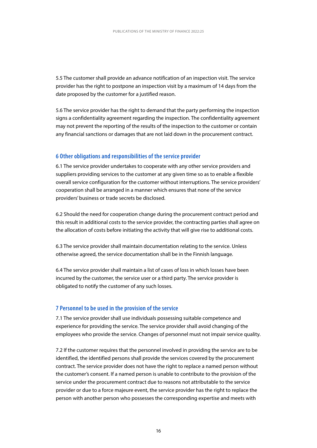<span id="page-16-0"></span>5.5 The customer shall provide an advance notification of an inspection visit. The service provider has the right to postpone an inspection visit by a maximum of 14 days from the date proposed by the customer for a justified reason.

5.6 The service provider has the right to demand that the party performing the inspection signs a confidentiality agreement regarding the inspection. The confidentiality agreement may not prevent the reporting of the results of the inspection to the customer or contain any financial sanctions or damages that are not laid down in the procurement contract.

#### **6 Other obligations and responsibilities of the service provider**

6.1 The service provider undertakes to cooperate with any other service providers and suppliers providing services to the customer at any given time so as to enable a flexible overall service configuration for the customer without interruptions. The service providers' cooperation shall be arranged in a manner which ensures that none of the service providers' business or trade secrets be disclosed.

6.2 Should the need for cooperation change during the procurement contract period and this result in additional costs to the service provider, the contracting parties shall agree on the allocation of costs before initiating the activity that will give rise to additional costs.

6.3 The service provider shall maintain documentation relating to the service. Unless otherwise agreed, the service documentation shall be in the Finnish language.

6.4 The service provider shall maintain a list of cases of loss in which losses have been incurred by the customer, the service user or a third party. The service provider is obligated to notify the customer of any such losses.

#### **7 Personnel to be used in the provision of the service**

7.1 The service provider shall use individuals possessing suitable competence and experience for providing the service. The service provider shall avoid changing of the employees who provide the service. Changes of personnel must not impair service quality.

7.2 If the customer requires that the personnel involved in providing the service are to be identified, the identified persons shall provide the services covered by the procurement contract. The service provider does not have the right to replace a named person without the customer's consent. If a named person is unable to contribute to the provision of the service under the procurement contract due to reasons not attributable to the service provider or due to a force majeure event, the service provider has the right to replace the person with another person who possesses the corresponding expertise and meets with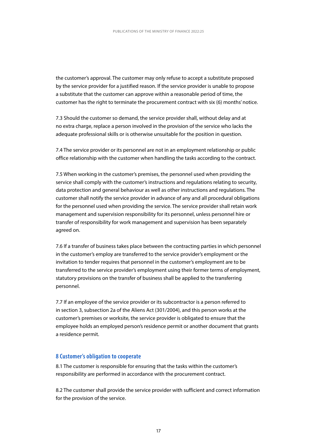<span id="page-17-0"></span>the customer's approval. The customer may only refuse to accept a substitute proposed by the service provider for a justified reason. If the service provider is unable to propose a substitute that the customer can approve within a reasonable period of time, the customer has the right to terminate the procurement contract with six (6) months' notice.

7.3 Should the customer so demand, the service provider shall, without delay and at no extra charge, replace a person involved in the provision of the service who lacks the adequate professional skills or is otherwise unsuitable for the position in question.

7.4 The service provider or its personnel are not in an employment relationship or public office relationship with the customer when handling the tasks according to the contract.

7.5 When working in the customer's premises, the personnel used when providing the service shall comply with the customer's instructions and regulations relating to security, data protection and general behaviour as well as other instructions and regulations. The customer shall notify the service provider in advance of any and all procedural obligations for the personnel used when providing the service. The service provider shall retain work management and supervision responsibility for its personnel, unless personnel hire or transfer of responsibility for work management and supervision has been separately agreed on.

7.6 If a transfer of business takes place between the contracting parties in which personnel in the customer's employ are transferred to the service provider's employment or the invitation to tender requires that personnel in the customer's employment are to be transferred to the service provider's employment using their former terms of employment, statutory provisions on the transfer of business shall be applied to the transferring personnel.

7.7 If an employee of the service provider or its subcontractor is a person referred to in section 3, subsection 2a of the Aliens Act (301/2004), and this person works at the customer's premises or worksite, the service provider is obligated to ensure that the employee holds an employed person's residence permit or another document that grants a residence permit.

#### **8 Customer's obligation to cooperate**

8.1 The customer is responsible for ensuring that the tasks within the customer's responsibility are performed in accordance with the procurement contract.

8.2 The customer shall provide the service provider with sufficient and correct information for the provision of the service.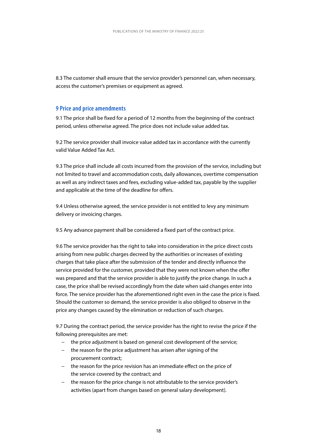8.3 The customer shall ensure that the service provider's personnel can, when necessary, access the customer's premises or equipment as agreed.

#### **9 Price and price amendments**

9.1 The price shall be fixed for a period of 12 months from the beginning of the contract period, unless otherwise agreed. The price does not include value added tax.

9.2 The service provider shall invoice value added tax in accordance with the currently valid Value Added Tax Act.

9.3 The price shall include all costs incurred from the provision of the service, including but not limited to travel and accommodation costs, daily allowances, overtime compensation as well as any indirect taxes and fees, excluding value-added tax, payable by the supplier and applicable at the time of the deadline for offers.

9.4 Unless otherwise agreed, the service provider is not entitled to levy any minimum delivery or invoicing charges.

9.5 Any advance payment shall be considered a fixed part of the contract price.

9.6 The service provider has the right to take into consideration in the price direct costs arising from new public charges decreed by the authorities or increases of existing charges that take place after the submission of the tender and directly influence the service provided for the customer, provided that they were not known when the offer was prepared and that the service provider is able to justify the price change. In such a case, the price shall be revised accordingly from the date when said changes enter into force. The service provider has the aforementioned right even in the case the price is fixed. Should the customer so demand, the service provider is also obliged to observe in the price any changes caused by the elimination or reduction of such charges.

9.7 During the contract period, the service provider has the right to revise the price if the following prerequisites are met:

- − the price adjustment is based on general cost development of the service;
- − the reason for the price adjustment has arisen after signing of the procurement contract;
- − the reason for the price revision has an immediate effect on the price of the service covered by the contract; and
- − the reason for the price change is not attributable to the service provider's activities (apart from changes based on general salary development).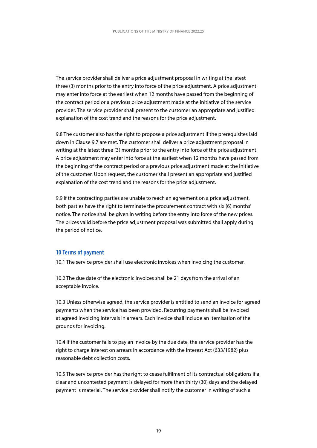<span id="page-19-0"></span>The service provider shall deliver a price adjustment proposal in writing at the latest three (3) months prior to the entry into force of the price adjustment. A price adjustment may enter into force at the earliest when 12 months have passed from the beginning of the contract period or a previous price adjustment made at the initiative of the service provider. The service provider shall present to the customer an appropriate and justified explanation of the cost trend and the reasons for the price adjustment.

9.8 The customer also has the right to propose a price adjustment if the prerequisites laid down in Clause 9.7 are met. The customer shall deliver a price adjustment proposal in writing at the latest three (3) months prior to the entry into force of the price adjustment. A price adjustment may enter into force at the earliest when 12 months have passed from the beginning of the contract period or a previous price adjustment made at the initiative of the customer. Upon request, the customer shall present an appropriate and justified explanation of the cost trend and the reasons for the price adjustment.

9.9 If the contracting parties are unable to reach an agreement on a price adjustment, both parties have the right to terminate the procurement contract with six (6) months' notice. The notice shall be given in writing before the entry into force of the new prices. The prices valid before the price adjustment proposal was submitted shall apply during the period of notice.

#### **10 Terms of payment**

10.1 The service provider shall use electronic invoices when invoicing the customer.

10.2 The due date of the electronic invoices shall be 21 days from the arrival of an acceptable invoice.

10.3 Unless otherwise agreed, the service provider is entitled to send an invoice for agreed payments when the service has been provided. Recurring payments shall be invoiced at agreed invoicing intervals in arrears. Each invoice shall include an itemisation of the grounds for invoicing.

10.4 If the customer fails to pay an invoice by the due date, the service provider has the right to charge interest on arrears in accordance with the Interest Act (633/1982) plus reasonable debt collection costs.

10.5 The service provider has the right to cease fulfilment of its contractual obligations if a clear and uncontested payment is delayed for more than thirty (30) days and the delayed payment is material. The service provider shall notify the customer in writing of such a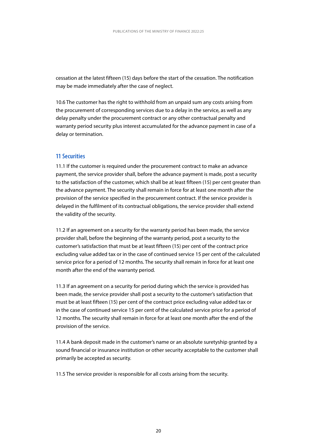<span id="page-20-0"></span>cessation at the latest fifteen (15) days before the start of the cessation. The notification may be made immediately after the case of neglect.

10.6 The customer has the right to withhold from an unpaid sum any costs arising from the procurement of corresponding services due to a delay in the service, as well as any delay penalty under the procurement contract or any other contractual penalty and warranty period security plus interest accumulated for the advance payment in case of a delay or termination.

#### **11 Securities**

11.1 If the customer is required under the procurement contract to make an advance payment, the service provider shall, before the advance payment is made, post a security to the satisfaction of the customer, which shall be at least fifteen (15) per cent greater than the advance payment. The security shall remain in force for at least one month after the provision of the service specified in the procurement contract. If the service provider is delayed in the fulfilment of its contractual obligations, the service provider shall extend the validity of the security.

11.2 If an agreement on a security for the warranty period has been made, the service provider shall, before the beginning of the warranty period, post a security to the customer's satisfaction that must be at least fifteen (15) per cent of the contract price excluding value added tax or in the case of continued service 15 per cent of the calculated service price for a period of 12 months. The security shall remain in force for at least one month after the end of the warranty period.

11.3 If an agreement on a security for period during which the service is provided has been made, the service provider shall post a security to the customer's satisfaction that must be at least fifteen (15) per cent of the contract price excluding value added tax or in the case of continued service 15 per cent of the calculated service price for a period of 12 months. The security shall remain in force for at least one month after the end of the provision of the service.

11.4 A bank deposit made in the customer's name or an absolute suretyship granted by a sound financial or insurance institution or other security acceptable to the customer shall primarily be accepted as security.

11.5 The service provider is responsible for all costs arising from the security.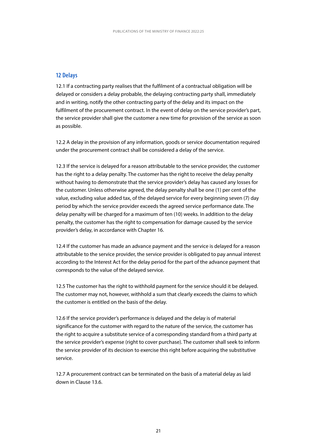#### <span id="page-21-0"></span>**12 Delays**

12.1 If a contracting party realises that the fulfilment of a contractual obligation will be delayed or considers a delay probable, the delaying contracting party shall, immediately and in writing, notify the other contracting party of the delay and its impact on the fulfilment of the procurement contract. In the event of delay on the service provider's part, the service provider shall give the customer a new time for provision of the service as soon as possible.

12.2 A delay in the provision of any information, goods or service documentation required under the procurement contract shall be considered a delay of the service.

12.3 If the service is delayed for a reason attributable to the service provider, the customer has the right to a delay penalty. The customer has the right to receive the delay penalty without having to demonstrate that the service provider's delay has caused any losses for the customer. Unless otherwise agreed, the delay penalty shall be one (1) per cent of the value, excluding value added tax, of the delayed service for every beginning seven (7) day period by which the service provider exceeds the agreed service performance date. The delay penalty will be charged for a maximum of ten (10) weeks. In addition to the delay penalty, the customer has the right to compensation for damage caused by the service provider's delay, in accordance with Chapter 16.

12.4 If the customer has made an advance payment and the service is delayed for a reason attributable to the service provider, the service provider is obligated to pay annual interest according to the Interest Act for the delay period for the part of the advance payment that corresponds to the value of the delayed service.

12.5 The customer has the right to withhold payment for the service should it be delayed. The customer may not, however, withhold a sum that clearly exceeds the claims to which the customer is entitled on the basis of the delay.

12.6 If the service provider's performance is delayed and the delay is of material significance for the customer with regard to the nature of the service, the customer has the right to acquire a substitute service of a corresponding standard from a third party at the service provider's expense (right to cover purchase). The customer shall seek to inform the service provider of its decision to exercise this right before acquiring the substitutive service.

12.7 A procurement contract can be terminated on the basis of a material delay as laid down in Clause 13.6.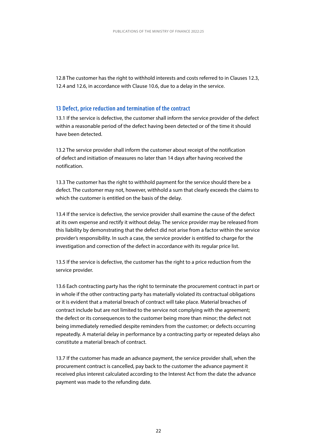<span id="page-22-0"></span>12.8 The customer has the right to withhold interests and costs referred to in Clauses 12.3, 12.4 and 12.6, in accordance with Clause 10.6, due to a delay in the service.

#### **13 Defect, price reduction and termination of the contract**

13.1 If the service is defective, the customer shall inform the service provider of the defect within a reasonable period of the defect having been detected or of the time it should have been detected.

13.2 The service provider shall inform the customer about receipt of the notification of defect and initiation of measures no later than 14 days after having received the notification.

13.3 The customer has the right to withhold payment for the service should there be a defect. The customer may not, however, withhold a sum that clearly exceeds the claims to which the customer is entitled on the basis of the delay.

13.4 If the service is defective, the service provider shall examine the cause of the defect at its own expense and rectify it without delay. The service provider may be released from this liability by demonstrating that the defect did not arise from a factor within the service provider's responsibility. In such a case, the service provider is entitled to charge for the investigation and correction of the defect in accordance with its regular price list.

13.5 If the service is defective, the customer has the right to a price reduction from the service provider.

13.6 Each contracting party has the right to terminate the procurement contract in part or in whole if the other contracting party has materially violated its contractual obligations or it is evident that a material breach of contract will take place. Material breaches of contract include but are not limited to the service not complying with the agreement; the defect or its consequences to the customer being more than minor; the defect not being immediately remedied despite reminders from the customer; or defects occurring repeatedly. A material delay in performance by a contracting party or repeated delays also constitute a material breach of contract.

13.7 If the customer has made an advance payment, the service provider shall, when the procurement contract is cancelled, pay back to the customer the advance payment it received plus interest calculated according to the Interest Act from the date the advance payment was made to the refunding date.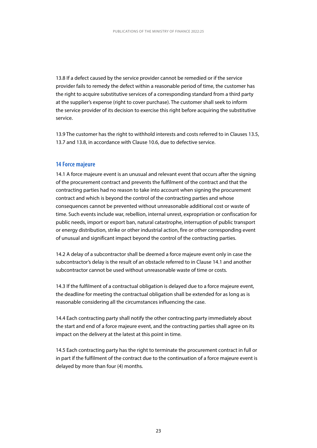<span id="page-23-0"></span>13.8 If a defect caused by the service provider cannot be remedied or if the service provider fails to remedy the defect within a reasonable period of time, the customer has the right to acquire substitutive services of a corresponding standard from a third party at the supplier's expense (right to cover purchase). The customer shall seek to inform the service provider of its decision to exercise this right before acquiring the substitutive service.

13.9 The customer has the right to withhold interests and costs referred to in Clauses 13.5, 13.7 and 13.8, in accordance with Clause 10.6, due to defective service.

#### **14 Force majeure**

14.1 A force majeure event is an unusual and relevant event that occurs after the signing of the procurement contract and prevents the fulfilment of the contract and that the contracting parties had no reason to take into account when signing the procurement contract and which is beyond the control of the contracting parties and whose consequences cannot be prevented without unreasonable additional cost or waste of time. Such events include war, rebellion, internal unrest, expropriation or confiscation for public needs, import or export ban, natural catastrophe, interruption of public transport or energy distribution, strike or other industrial action, fire or other corresponding event of unusual and significant impact beyond the control of the contracting parties.

14.2 A delay of a subcontractor shall be deemed a force majeure event only in case the subcontractor's delay is the result of an obstacle referred to in Clause 14.1 and another subcontractor cannot be used without unreasonable waste of time or costs.

14.3 If the fulfilment of a contractual obligation is delayed due to a force majeure event, the deadline for meeting the contractual obligation shall be extended for as long as is reasonable considering all the circumstances influencing the case.

14.4 Each contracting party shall notify the other contracting party immediately about the start and end of a force majeure event, and the contracting parties shall agree on its impact on the delivery at the latest at this point in time.

14.5 Each contracting party has the right to terminate the procurement contract in full or in part if the fulfilment of the contract due to the continuation of a force majeure event is delayed by more than four (4) months.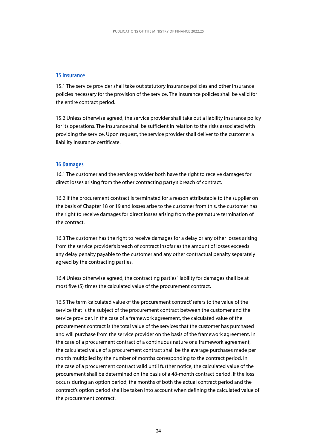#### <span id="page-24-0"></span>**15 Insurance**

15.1 The service provider shall take out statutory insurance policies and other insurance policies necessary for the provision of the service. The insurance policies shall be valid for the entire contract period.

15.2 Unless otherwise agreed, the service provider shall take out a liability insurance policy for its operations. The insurance shall be sufficient in relation to the risks associated with providing the service. Upon request, the service provider shall deliver to the customer a liability insurance certificate.

#### **16 Damages**

16.1 The customer and the service provider both have the right to receive damages for direct losses arising from the other contracting party's breach of contract.

16.2 If the procurement contract is terminated for a reason attributable to the supplier on the basis of Chapter 18 or 19 and losses arise to the customer from this, the customer has the right to receive damages for direct losses arising from the premature termination of the contract.

16.3 The customer has the right to receive damages for a delay or any other losses arising from the service provider's breach of contract insofar as the amount of losses exceeds any delay penalty payable to the customer and any other contractual penalty separately agreed by the contracting parties.

16.4 Unless otherwise agreed, the contracting parties' liability for damages shall be at most five (5) times the calculated value of the procurement contract.

16.5 The term 'calculated value of the procurement contract' refers to the value of the service that is the subject of the procurement contract between the customer and the service provider. In the case of a framework agreement, the calculated value of the procurement contract is the total value of the services that the customer has purchased and will purchase from the service provider on the basis of the framework agreement. In the case of a procurement contract of a continuous nature or a framework agreement, the calculated value of a procurement contract shall be the average purchases made per month multiplied by the number of months corresponding to the contract period. In the case of a procurement contract valid until further notice, the calculated value of the procurement shall be determined on the basis of a 48-month contract period. If the loss occurs during an option period, the months of both the actual contract period and the contract's option period shall be taken into account when defining the calculated value of the procurement contract.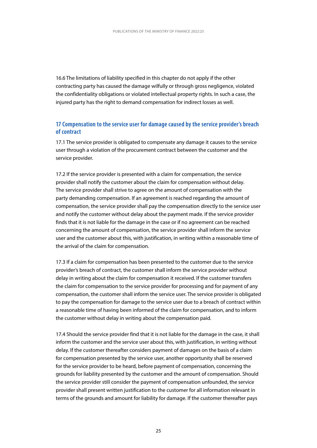16.6 The limitations of liability specified in this chapter do not apply if the other contracting party has caused the damage wilfully or through gross negligence, violated the confidentiality obligations or violated intellectual property rights. In such a case, the injured party has the right to demand compensation for indirect losses as well.

#### **17 Compensation to the service user for damage caused by the service provider's breach of contract**

17.1 The service provider is obligated to compensate any damage it causes to the service user through a violation of the procurement contract between the customer and the service provider.

17.2 If the service provider is presented with a claim for compensation, the service provider shall notify the customer about the claim for compensation without delay. The service provider shall strive to agree on the amount of compensation with the party demanding compensation. If an agreement is reached regarding the amount of compensation, the service provider shall pay the compensation directly to the service user and notify the customer without delay about the payment made. If the service provider finds that it is not liable for the damage in the case or if no agreement can be reached concerning the amount of compensation, the service provider shall inform the service user and the customer about this, with justification, in writing within a reasonable time of the arrival of the claim for compensation.

17.3 If a claim for compensation has been presented to the customer due to the service provider's breach of contract, the customer shall inform the service provider without delay in writing about the claim for compensation it received. If the customer transfers the claim for compensation to the service provider for processing and for payment of any compensation, the customer shall inform the service user. The service provider is obligated to pay the compensation for damage to the service user due to a breach of contract within a reasonable time of having been informed of the claim for compensation, and to inform the customer without delay in writing about the compensation paid.

17.4 Should the service provider find that it is not liable for the damage in the case, it shall inform the customer and the service user about this, with justification, in writing without delay. If the customer thereafter considers payment of damages on the basis of a claim for compensation presented by the service user, another opportunity shall be reserved for the service provider to be heard, before payment of compensation, concerning the grounds for liability presented by the customer and the amount of compensation. Should the service provider still consider the payment of compensation unfounded, the service provider shall present written justification to the customer for all information relevant in terms of the grounds and amount for liability for damage. If the customer thereafter pays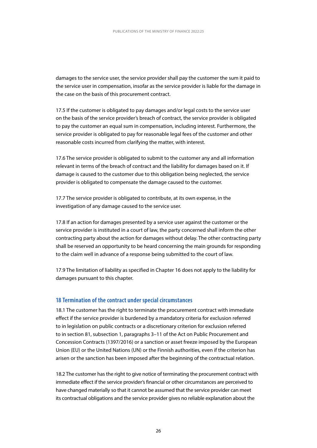<span id="page-26-0"></span>damages to the service user, the service provider shall pay the customer the sum it paid to the service user in compensation, insofar as the service provider is liable for the damage in the case on the basis of this procurement contract.

17.5 If the customer is obligated to pay damages and/or legal costs to the service user on the basis of the service provider's breach of contract, the service provider is obligated to pay the customer an equal sum in compensation, including interest. Furthermore, the service provider is obligated to pay for reasonable legal fees of the customer and other reasonable costs incurred from clarifying the matter, with interest.

17.6 The service provider is obligated to submit to the customer any and all information relevant in terms of the breach of contract and the liability for damages based on it. If damage is caused to the customer due to this obligation being neglected, the service provider is obligated to compensate the damage caused to the customer.

17.7 The service provider is obligated to contribute, at its own expense, in the investigation of any damage caused to the service user.

17.8 If an action for damages presented by a service user against the customer or the service provider is instituted in a court of law, the party concerned shall inform the other contracting party about the action for damages without delay. The other contracting party shall be reserved an opportunity to be heard concerning the main grounds for responding to the claim well in advance of a response being submitted to the court of law.

17.9 The limitation of liability as specified in Chapter 16 does not apply to the liability for damages pursuant to this chapter.

#### **18 Termination of the contract under special circumstances**

18.1 The customer has the right to terminate the procurement contract with immediate effect if the service provider is burdened by a mandatory criteria for exclusion referred to in legislation on public contracts or a discretionary criterion for exclusion referred to in section 81, subsection 1, paragraphs 3–11 of the Act on Public Procurement and Concession Contracts (1397/2016) or a sanction or asset freeze imposed by the European Union (EU) or the United Nations (UN) or the Finnish authorities, even if the criterion has arisen or the sanction has been imposed after the beginning of the contractual relation.

18.2 The customer has the right to give notice of terminating the procurement contract with immediate effect if the service provider's financial or other circumstances are perceived to have changed materially so that it cannot be assumed that the service provider can meet its contractual obligations and the service provider gives no reliable explanation about the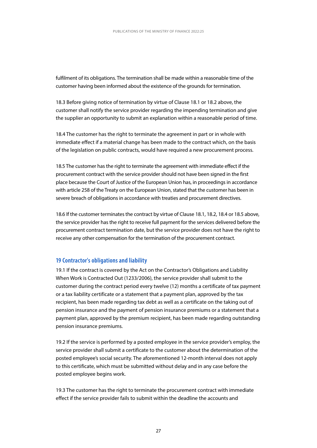<span id="page-27-0"></span>fulfilment of its obligations. The termination shall be made within a reasonable time of the customer having been informed about the existence of the grounds for termination.

18.3 Before giving notice of termination by virtue of Clause 18.1 or 18.2 above, the customer shall notify the service provider regarding the impending termination and give the supplier an opportunity to submit an explanation within a reasonable period of time.

18.4 The customer has the right to terminate the agreement in part or in whole with immediate effect if a material change has been made to the contract which, on the basis of the legislation on public contracts, would have required a new procurement process.

18.5 The customer has the right to terminate the agreement with immediate effect if the procurement contract with the service provider should not have been signed in the first place because the Court of Justice of the European Union has, in proceedings in accordance with article 258 of the Treaty on the European Union, stated that the customer has been in severe breach of obligations in accordance with treaties and procurement directives.

18.6 If the customer terminates the contract by virtue of Clause 18.1, 18.2, 18.4 or 18.5 above, the service provider has the right to receive full payment for the services delivered before the procurement contract termination date, but the service provider does not have the right to receive any other compensation for the termination of the procurement contract.

#### **19 Contractor's obligations and liability**

19.1 If the contract is covered by the Act on the Contractor's Obligations and Liability When Work is Contracted Out (1233/2006), the service provider shall submit to the customer during the contract period every twelve (12) months a certificate of tax payment or a tax liability certificate or a statement that a payment plan, approved by the tax recipient, has been made regarding tax debt as well as a certificate on the taking out of pension insurance and the payment of pension insurance premiums or a statement that a payment plan, approved by the premium recipient, has been made regarding outstanding pension insurance premiums.

19.2 If the service is performed by a posted employee in the service provider's employ, the service provider shall submit a certificate to the customer about the determination of the posted employee's social security. The aforementioned 12-month interval does not apply to this certificate, which must be submitted without delay and in any case before the posted employee begins work.

19.3 The customer has the right to terminate the procurement contract with immediate effect if the service provider fails to submit within the deadline the accounts and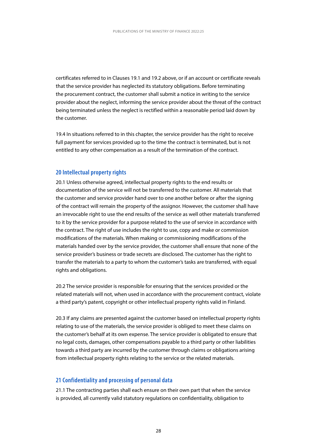<span id="page-28-0"></span>certificates referred to in Clauses 19.1 and 19.2 above, or if an account or certificate reveals that the service provider has neglected its statutory obligations. Before terminating the procurement contract, the customer shall submit a notice in writing to the service provider about the neglect, informing the service provider about the threat of the contract being terminated unless the neglect is rectified within a reasonable period laid down by the customer.

19.4 In situations referred to in this chapter, the service provider has the right to receive full payment for services provided up to the time the contract is terminated, but is not entitled to any other compensation as a result of the termination of the contract.

#### **20 Intellectual property rights**

20.1 Unless otherwise agreed, intellectual property rights to the end results or documentation of the service will not be transferred to the customer. All materials that the customer and service provider hand over to one another before or after the signing of the contract will remain the property of the assignor. However, the customer shall have an irrevocable right to use the end results of the service as well other materials transferred to it by the service provider for a purpose related to the use of service in accordance with the contract. The right of use includes the right to use, copy and make or commission modifications of the materials. When making or commissioning modifications of the materials handed over by the service provider, the customer shall ensure that none of the service provider's business or trade secrets are disclosed. The customer has the right to transfer the materials to a party to whom the customer's tasks are transferred, with equal rights and obligations.

20.2 The service provider is responsible for ensuring that the services provided or the related materials will not, when used in accordance with the procurement contract, violate a third party's patent, copyright or other intellectual property rights valid in Finland.

20.3 If any claims are presented against the customer based on intellectual property rights relating to use of the materials, the service provider is obliged to meet these claims on the customer's behalf at its own expense. The service provider is obligated to ensure that no legal costs, damages, other compensations payable to a third party or other liabilities towards a third party are incurred by the customer through claims or obligations arising from intellectual property rights relating to the service or the related materials.

#### **21 Confidentiality and processing of personal data**

21.1 The contracting parties shall each ensure on their own part that when the service is provided, all currently valid statutory regulations on confidentiality, obligation to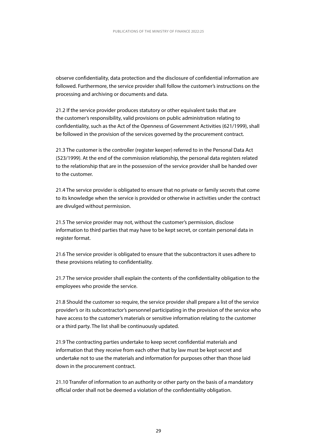observe confidentiality, data protection and the disclosure of confidential information are followed. Furthermore, the service provider shall follow the customer's instructions on the processing and archiving or documents and data.

21.2 If the service provider produces statutory or other equivalent tasks that are the customer's responsibility, valid provisions on public administration relating to confidentiality, such as the Act of the Openness of Government Activities (621/1999), shall be followed in the provision of the services governed by the procurement contract.

21.3 The customer is the controller (register keeper) referred to in the Personal Data Act (523/1999). At the end of the commission relationship, the personal data registers related to the relationship that are in the possession of the service provider shall be handed over to the customer.

21.4 The service provider is obligated to ensure that no private or family secrets that come to its knowledge when the service is provided or otherwise in activities under the contract are divulged without permission.

21.5 The service provider may not, without the customer's permission, disclose information to third parties that may have to be kept secret, or contain personal data in register format.

21.6 The service provider is obligated to ensure that the subcontractors it uses adhere to these provisions relating to confidentiality.

21.7 The service provider shall explain the contents of the confidentiality obligation to the employees who provide the service.

21.8 Should the customer so require, the service provider shall prepare a list of the service provider's or its subcontractor's personnel participating in the provision of the service who have access to the customer's materials or sensitive information relating to the customer or a third party. The list shall be continuously updated.

21.9 The contracting parties undertake to keep secret confidential materials and information that they receive from each other that by law must be kept secret and undertake not to use the materials and information for purposes other than those laid down in the procurement contract.

21.10 Transfer of information to an authority or other party on the basis of a mandatory official order shall not be deemed a violation of the confidentiality obligation.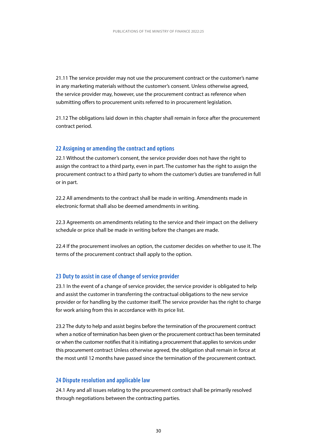<span id="page-30-0"></span>21.11 The service provider may not use the procurement contract or the customer's name in any marketing materials without the customer's consent. Unless otherwise agreed, the service provider may, however, use the procurement contract as reference when submitting offers to procurement units referred to in procurement legislation.

21.12 The obligations laid down in this chapter shall remain in force after the procurement contract period.

#### **22 Assigning or amending the contract and options**

22.1 Without the customer's consent, the service provider does not have the right to assign the contract to a third party, even in part. The customer has the right to assign the procurement contract to a third party to whom the customer's duties are transferred in full or in part.

22.2 All amendments to the contract shall be made in writing. Amendments made in electronic format shall also be deemed amendments in writing.

22.3 Agreements on amendments relating to the service and their impact on the delivery schedule or price shall be made in writing before the changes are made.

22.4 If the procurement involves an option, the customer decides on whether to use it. The terms of the procurement contract shall apply to the option.

#### **23 Duty to assist in case of change of service provider**

23.1 In the event of a change of service provider, the service provider is obligated to help and assist the customer in transferring the contractual obligations to the new service provider or for handling by the customer itself. The service provider has the right to charge for work arising from this in accordance with its price list.

23.2 The duty to help and assist begins before the termination of the procurement contract when a notice of termination has been given or the procurement contract has been terminated or when the customer notifies that it is initiating a procurement that applies to services under this procurement contract Unless otherwise agreed, the obligation shall remain in force at the most until 12 months have passed since the termination of the procurement contract.

#### **24 Dispute resolution and applicable law**

24.1 Any and all issues relating to the procurement contract shall be primarily resolved through negotiations between the contracting parties.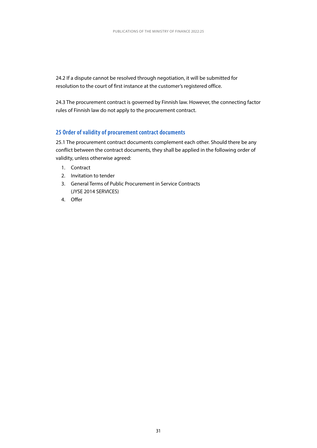<span id="page-31-0"></span>24.2 If a dispute cannot be resolved through negotiation, it will be submitted for resolution to the court of first instance at the customer's registered office.

24.3 The procurement contract is governed by Finnish law. However, the connecting factor rules of Finnish law do not apply to the procurement contract.

#### **25 Order of validity of procurement contract documents**

25.1 The procurement contract documents complement each other. Should there be any conflict between the contract documents, they shall be applied in the following order of validity, unless otherwise agreed:

- 1. Contract
- 2. Invitation to tender
- 3. General Terms of Public Procurement in Service Contracts (JYSE 2014 SERVICES)
- 4. Offer